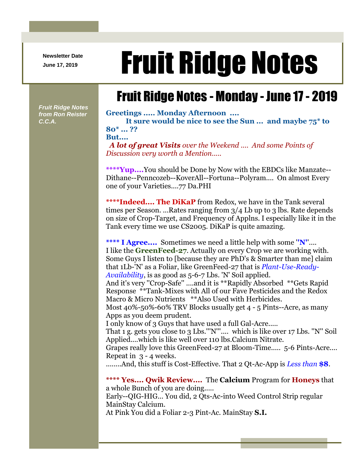**Newsletter Date**

## Newsletter Date **Fruit Ridge Notes**

## Fruit Ridge Notes - Monday - June 17 - 2019

*Fruit Ridge Notes from Ron Reister C.C.A.*

**Greetings ..... Monday Afternoon .... It sure would be nice to see the Sun ... and maybe 75\* to 80\* ... ?? But....** *A lot of great Visits over the Weekend .... And some Points of* 

*Discussion very worth a Mention.....*

**\*\*\*\*Yup....**You should be Done by Now with the EBDCs like Manzate-- Dithane--Penncozeb--KoverAll--Fortuna--Polyram.... On almost Every one of your Varieties....77 Da.PHI

**\*\*\*\*Indeed.... The DiKaP** from Redox, we have in the Tank several times per Season. ...Rates ranging from 3/4 Lb up to 3 lbs. Rate depends on size of Crop-Target, and Frequency of Applns. I especially like it in the Tank every time we use CS2005. DiKaP is quite amazing.

**\*\*\*\* I Agree....** Sometimes we need a little help with some '**'N'**'.... I like the **GreenFeed-27**. Actually on every Crop we are working with. Some Guys I listen to [because they are PhD's & Smarter than me] claim that 1Lb-'N' as a Foliar, like GreenFeed-27 that is *Plant-Use-Ready-Availability*, is as good as 5-6-7 Lbs. 'N' Soil applied.

And it's very ''Crop-Safe'' ....and it is \*\*Rapidly Absorbed \*\*Gets Rapid Response \*\*Tank-Mixes with All of our Fave Pesticides and the Redox Macro & Micro Nutrients \*\*Also Used with Herbicides.

Most 40%-50%-60% TRV Blocks usually get 4 - 5 Pints--Acre, as many Apps as you deem prudent.

I only know of 3 Guys that have used a full Gal-Acre.....

That 1 g. gets you close to 3 Lbs.'''N'''.... which is like over 17 Lbs. ''N'' Soil Applied....which is like well over 110 lbs.Calcium Nitrate.

Grapes really love this GreenFeed-27 at Bloom-Time..... 5-6 Pints-Acre.... Repeat in 3 - 4 weeks.

........And, this stuff is Cost-Effective. That 2 Qt-Ac-App is *Less than* **\$8**.

**\*\*\*\* Yes.... Qwik Review....** The **Calcium** Program for **Honeys** that a whole Bunch of you are doing..... Early--QIG-HIG... You did, 2 Qts-Ac-into Weed Control Strip regular MainStay Calcium.

At Pink You did a Foliar 2-3 Pint-Ac. MainStay **S.I.**